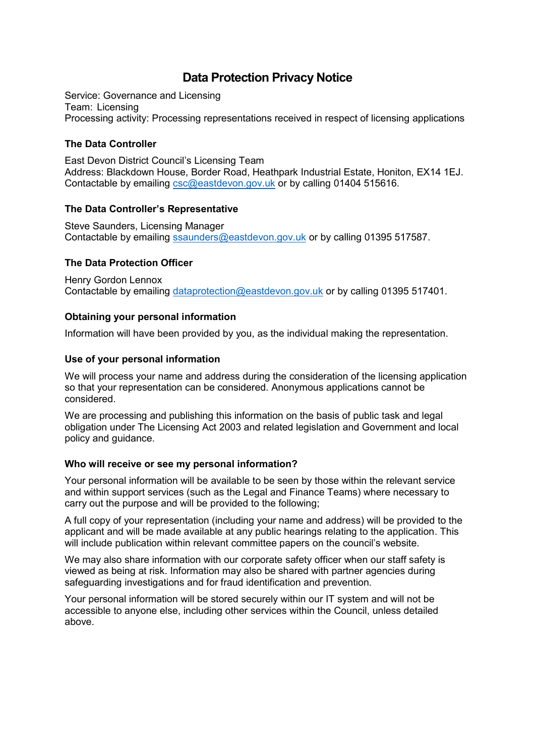# **Data Protection Privacy Notice**

Service: Governance and Licensing Team: Licensing Processing activity: Processing representations received in respect of licensing applications

# **The Data Controller**

East Devon District Council's Licensing Team Address: Blackdown House, Border Road, Heathpark Industrial Estate, Honiton, EX14 1EJ. Contactable by emailing [csc@eastdevon.gov.uk](mailto:SSaunders@eastdevon.gov.uk) or by calling 01404 515616.

# **The Data Controller's Representative**

Steve Saunders, Licensing Manager Contactable by emailing [ssaunders@eastdevon.gov.uk](mailto:ssaunders@eastdevon.gov.uk) or by calling 01395 517587.

# **The Data Protection Officer**

Henry Gordon Lennox Contactable by emailing [dataprotection@eastdevon.gov.uk](mailto:dataprotection@eastdevon.gov.uk) or by calling 01395 517401.

# **Obtaining your personal information**

Information will have been provided by you, as the individual making the representation.

# **Use of your personal information**

We will process your name and address during the consideration of the licensing application so that your representation can be considered. Anonymous applications cannot be considered.

We are processing and publishing this information on the basis of public task and legal obligation under The Licensing Act 2003 and related legislation and Government and local policy and guidance.

#### **Who will receive or see my personal information?**

Your personal information will be available to be seen by those within the relevant service and within support services (such as the Legal and Finance Teams) where necessary to carry out the purpose and will be provided to the following;

A full copy of your representation (including your name and address) will be provided to the applicant and will be made available at any public hearings relating to the application. This will include publication within relevant committee papers on the council's website.

We may also share information with our corporate safety officer when our staff safety is viewed as being at risk. Information may also be shared with partner agencies during safeguarding investigations and for fraud identification and prevention.

Your personal information will be stored securely within our IT system and will not be accessible to anyone else, including other services within the Council, unless detailed above.